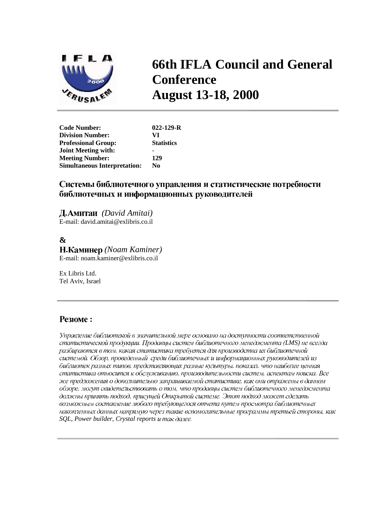

# **66th IFLA Council and General Conference August 13-18, 2000**

**Code Number: 022-129-R Division Number: VI Professional Group: Joint Meeting with:** - **Meeting Number: 129 Simultaneous Interpretation: No** 

## Системы библиотечного управления и статистические потребности библиотечных и информационных руководителей

 *(David Amitai)* E-mail: david.amitai@exlibris.co.il

# **&**

 *(Noam Kaminer)* E-mail: noam.kaminer@exlibris.co.il

Ex Libris Ltd. Tel Aviv, Israel

# **Резюме:**

Управление библиотекой в значительной мере основано на доступности соответственной статистической продукции. Продавцы систем библиотечного менеджмента (LMS) не всегда разбираются в том, какая статистика требуется для производства их библиотечной системой. Обзор, проведенный среди библиотечных и информационных руководителей из библиотек разных типов, представляющих разные культуры, показал, что наиболее ценная статистика относится к обслуживанию, производительности систем, аспектам поиска. Все же предложения о дополнительно запрашиваемой статистике, как они отражены в данном обзоре, могут свидетельствовать о том, что продавцы систем библиотечного менеджмента должны принять подход, присущей Открытой системе. Этот подход может сделать возможным составление любого требующегося отчета путем просмотра библиотечных накопленных данных напрямую через такие вспомогательные программы третьей стороны, как *SQL, Power builder, Crystal reports*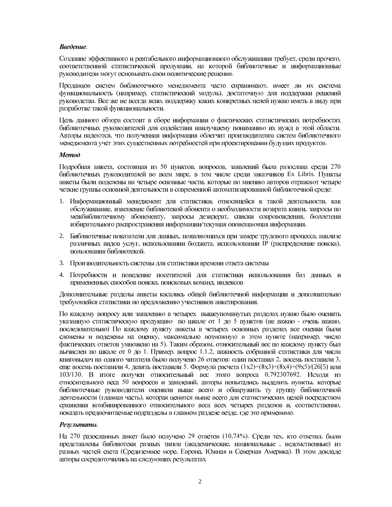#### Введение.

Создание эффективного и рентабельного информационного обслуживания требует, среди прочего, соответственной статистической продукции, на которой библиотечные и информационные руководители могут основывать свои политические решения.

Продавцов систем библиотечного менеджмента часто спрашивают, имеет ли их система функциональность (например, статистический модуль), достаточную для поддержки решений руководства. Все же не всегда ясно, поддержку каких конкретных целей нужно иметь в виду при разработке такой функциональности.

Цель данного обзора состоит в сборе информации о фактических статистических потребностях библиотечных руководителей для содействия наилучшему пониманию их нужд в этой области. Авторы надеются, что полученная информация облегчит производителям систем библиотечного менеджмента учет этих существенных потребностей при проектировании будущих продуктов.

#### Memod

Подробная анкета, состоящая из 50 пунктов, вопросов, заявлений была разослана среди 270 библиотечных руководителей во всем мире, в том числе среди заказчиков Ex Libris. Пункты анкеты были поделены на четыре основные части, которые по мнению авторов отражают четыре четкие группы основной деятельности в современной автоматизированной библиотечной среде:

- 1. Информационный менеджмент для статистики, относящейся к такой деятельности, как обслуживание, извещение библиотекой абонента о необходимости возврата книги, запросы по межбиблиотечному абонементу, запросы дезидерат, списки сопровождения, бюллетени избирательного распространения информации/текущая оповещающая информация.
- 2. Библиотечные показатели для данных, появляющихся при замере трудового процесса, анализе различных видов услуг, использовании бюджета, использовании IP (распределение поиска), пользования библиотекой.
- 3. Производительность системы для статистики времени ответа системы
- 4. Потребности и поведение посетителей для статистики использования баз данных и примененных способов поиска, поисковых команд, индексов

Дополнительные разделы анкеты касались общей библиотечной информации и дополнительно требующейся статистики по предложению участников анкетирования.

По каждому вопросу или заявлению в четырех вышеупомянутых разделах нужно было оценить указанную статистическую продукцию по шкале от 1 до 5 пунктов (не важно - очень важно, последовательно) По каждому пункту анкеты в четырех основных разделах все оценки были сложены и поделены на оценку, максимально возможную в этом пункте (например, число фактических ответов умножено на 5). Таким образом, относительный вес по каждому пункту был вычислен по шкале от 0 до 1. Пример. вопрос 1.1.2, важность собранной статистики для числа книговыдач на одного читателя было получено 26 ответов: один поставил 2, восемь поставили 3, еще восемь поставили 4, девять поставили 5. Формула расчета  $(1x2)+(8x3)+(8x4)+(9x5)/(26[5)$  или 103/130. В итоге получен относительный вес этого вопроса 0,792307692. Исходя из относительного веса 50 вопросов и заявлений, авторы попытались выделить пункты, которые библиотечные руководители оценили выше всего и обнаружить ту группу библиотечной деятельности (главная часть), которая ценится выше всего для статистических целей посредством сравнения комбинированного относительного веса всех четырех разделов и, соответственно, показать предпочитаемые подразделы в главном разделе везде, где это применимо.

#### Результаты.

На 270 разосланных анкет было получено 29 ответов (10,74%). Среди тех, кто ответил, были представлены библиотеки разных типов (академические, национальные, ведомственные) из разных частей света (Средиземное море, Европа, Южная и Северная Америка). В этом докладе авторы сосредоточились на следующих результатах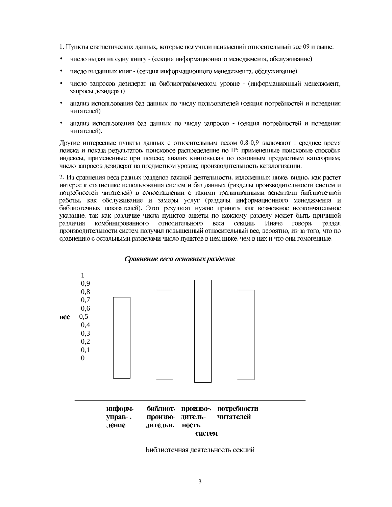1. Пункты статистических данных, которые получили наивысший относительный вес 09 и выше:

- $\bullet$ число выдач на одну книгу - (секция информационного менеджмента, обслуживание)
- число выданных книг (секция информационного менеджмента, обслуживание)  $\bullet$
- $\bullet$ число запросов дезидерат на библиографическом уровне - (информационный менеджмент, запросы дезидерат)
- анализ использования баз данных по числу пользователей (секция потребностей и поведения читателей)
- анализ использования баз данных по числу запросов (секция потребностей и поведения читателей).

Другие интересные пункты данных с относительным весом 0,8-0,9 включают: среднее время поиска и показа результатов, поисковое распределение по IP; примененные поисковые способы; индексы, примененные при поиске; анализ книговыдач по основным предметным категориям; число запросов дезидерат на предметном уровне; производительность каталогизации.

2. Из сравнения веса разных разделов важной деятельности, изложенных ниже, видно, как растет интерес к статистике использования систем и баз данных (разделы производительности систем и потребностей читателей) в сопоставлении с такими традиционными аспектами библиотечной работы, как обслуживание и замеры услуг (разделы информационного менеджмента и библиотечных показателей). Этот результат нужно принять как возможное неокончательное указание, так как различие числа пунктов анкеты по каждому разделу может быть причиной различия комбинированного относительного веса секции. Иначе говоря. раздел производительности систем получил повышенный относительный вес, вероятно, из-за того, что по сравнению с остальными разделами число пунктов в нем ниже, чем в них и что они гомогенные.



#### Сравнение веса основных разделов

| информ. |                |  | библиот. произво-. потребности |  |  |  |  |
|---------|----------------|--|--------------------------------|--|--|--|--|
| управ-. |                |  | произво- дитель- читателей     |  |  |  |  |
| ление   | лительн. ность |  |                                |  |  |  |  |
|         | систем         |  |                                |  |  |  |  |

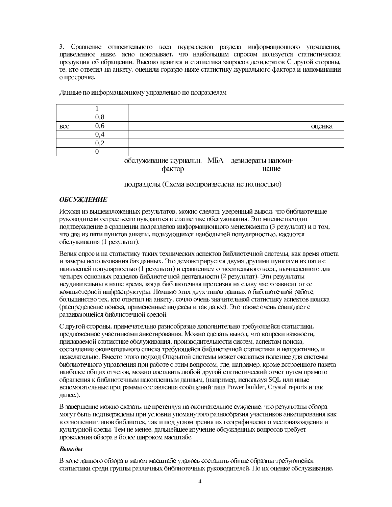3. Сравнение относительного веса подразделов раздела информационного управления, приведенное ниже, ясно показывает, что наибольшим спросом пользуется статистическая продукция об обращении. Высоко ценится и статистика запросов дезидератов С другой стороны, те, кто ответил на анкету, оценили гораздо ниже статистику журнального фактора и напоминании о просрочке.

|                                                                     | 0,8                           |  |  |  |  |  |        |  |
|---------------------------------------------------------------------|-------------------------------|--|--|--|--|--|--------|--|
| Bec                                                                 | 0,6                           |  |  |  |  |  | оценка |  |
|                                                                     | V.4                           |  |  |  |  |  |        |  |
|                                                                     | $\mathsf{v} \cdot \mathsf{v}$ |  |  |  |  |  |        |  |
|                                                                     |                               |  |  |  |  |  |        |  |
| <b>MEA</b><br>обелуучираные удурналын<br><b>TAQUIAMATLI LIGHAMU</b> |                               |  |  |  |  |  |        |  |

Данные по информационному управлению по подразделам

обслуживание журнальн. МБА дезидераты напомифактор нание

подразделы (Схема воспроизведена не полностью)

### **ОБСУЖДЕНИЕ**

Исходя из вышеизложенных результатов, можно сделать уверенный вывод, что библиотечные руководители острее всего нуждаются в статистике обслуживания. Это мнение находит подтверждение в сравнении подразделов информационного менеджмента (3 результат) и в том, что два из пяти пунктов анкеты, пользующихся наибольшей популярностью, касаются обслуживания (1 результат).

Велик спрос и на статистику таких технических аспектов библиотечной системы, как время ответа и замеры использования баз данных. Это демонстрируется двумя другими пунктами из пяти с наивысшей популярностью (1 результат) и сравнением относительного веса., вычисленного для четырех основных разделов библиотечной деятельности (2 результат). Эти результаты неудивительны в наше время, когда библиотечная претензия на славу часто зависит от ее компьютерной инфраструктуры. Помимо этих двух типов данных о библиотечной работе, большинство тех, кто ответил на анкету, сочло очень значительной статистику аспектов поиска (распределение поиска, примененные индексы и так далее). Это также очень совпадает с развивающейся библиотечной средой.

С другой стороны, примечательно разнообразие дополнительно требующейся статистики, предложенное участниками анкетирования. Можно сделать вывод, что вопреки важности, придаваемой статистике обслуживания, производительности систем, аспектам поиска, составление окончательного списка требующейся библиотечной статистики и непрактично, и нежелательно. Вместо этого подход Открытой системы может оказаться полезнее для системы библиотечного управления при работе с этим вопросом, где, например, кроме встроенного пакета наиболее общих отчетов, можно составить любой другой статистический отчет путем прямого обращения к библиотечным накопленным данным, (например, используя SQL или иные BCIIOMOTATE JIBOT DIN DINGTOR DUTIES THE ROOF DUILDER POWER builder, Crystal reports и так далее.).

В завершение можно сказать, не претендуя на окончательное суждение, что результаты обзора могут быть подтверждены при условии упомянутого разнообразия участников анкетирования как в отношении типов библиотек, так и под углом зрения их географического местонахождения и культурной среды. Тем не менее, дальнейшее изучение обсужденных вопросов требует проведения обзора в более широком масштабе.

#### Выводы

В ходе данного обзора в малом масштабе удалось составить общие образцы требующейся статистики среди группы различных библиотечных руководителей. По их оценке обслуживание,